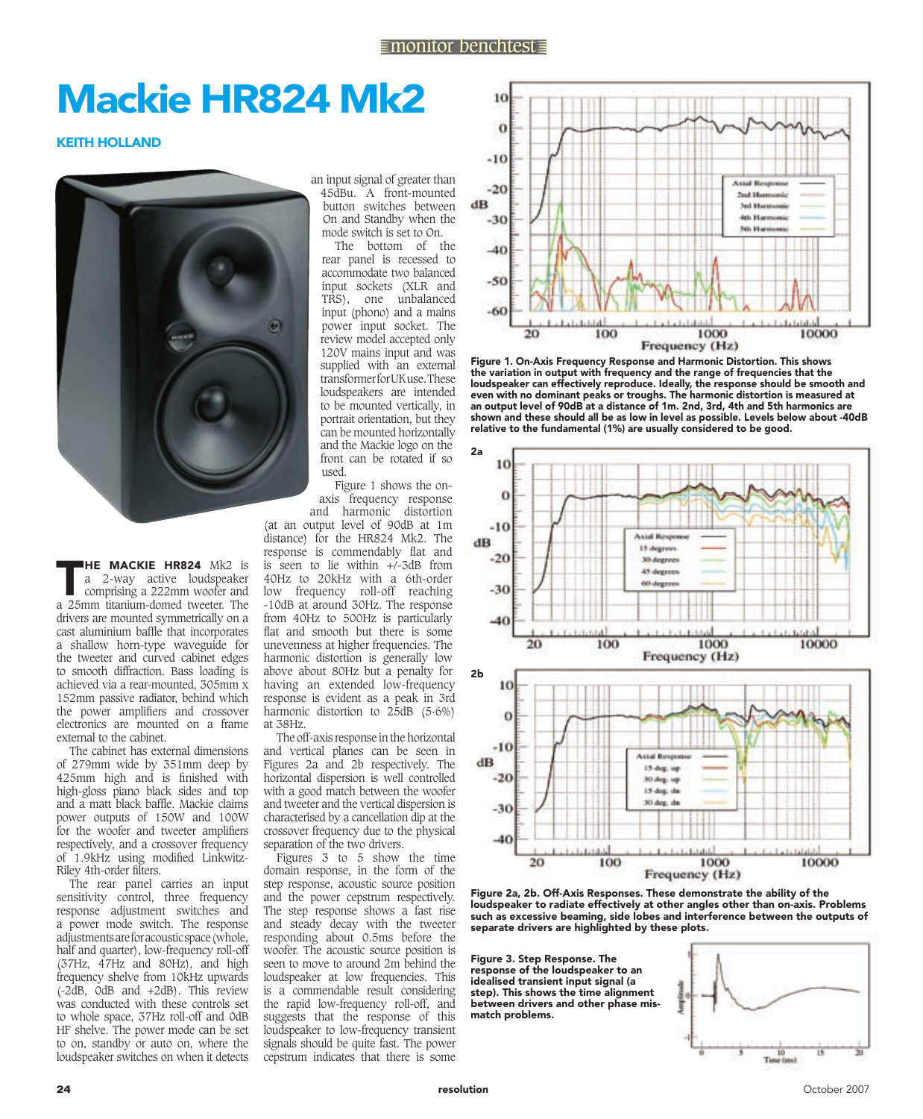## mackie hr824 mk2

**KEITH HOLLAND** 



**THE MACKIE HR824** Mk2 is<br>
a 2-way active loudspeaker<br>
comprising a 222mm woofer and<br>
a 25mm titinium domed tweeter. The a 2-way active loudspeaker a 25mm titanium-domed tweeter. The drivers are mounted symmetrically on a cast aluminium baffle that incorporates a shallow horn-type waveguide for the tweeter and curved cabinet edges to smooth diffraction. Bass loading is achieved via a rear-mounted, 305mm x 152mm passive radiator, behind which the power amplifiers and crossover electronics are mounted on a frame external to the cabinet.

The cabinet has external dimensions of 279mm wide by 351mm deep by 425mm high and is finished with high-gloss piano black sides and top and a matt black baffle. Mackie claims power outputs of 150W and 100W for the woofer and tweeter amplifiers respectively, and a crossover frequency of 1.9kHz using modified Linkwitz-Riley 4th-order filters.

The rear panel carries an input sensitivity control, three frequency response adjustment switches and a power mode switch. The response adjustments are for acoustic space (whole, half and quarter), low-frequency roll-off (37Hz, 47Hz and 80Hz), and high frequency shelve from 10kHz upwards (-2dB, 0dB and +2dB). This review was conducted with these controls set to whole space, 37Hz roll-off and 0dB HF shelve. The power mode can be set to on, standby or auto on, where the loudspeaker switches on when it detects

an input signal of greater than 45dBu. A front-mounted button switches between On and Standby when the mode switch is set to On.

The bottom of the rear panel is recessed to accommodate two balanced input sockets (XLR and TRS), one unbalanced input (phono) and a mains power input socket. The review model accepted only 120V mains input and was supplied with an external transformer for UK use. These loudspeakers are intended to be mounted vertically, in portrait orientation, but they can be mounted horizontally and the Mackie logo on the front can be rotated if so used.

Figure 1 shows the onaxis frequency response

and harmonic distortion (at an output level of 90dB at 1m distance) for the HR824 Mk2. The response is commendably flat and is seen to lie within  $+\sqrt{-3}$ dB from 40Hz to 20kHz with a 6th-order low frequency roll-off reaching -10dB at around 30Hz. The response from 40Hz to 500Hz is particularly flat and smooth but there is some unevenness at higher frequencies. The harmonic distortion is generally low above about 80Hz but a penalty for having an extended low-frequency response is evident as a peak in 3rd harmonic distortion to 25dB (5·6%) at 38Hz.

The off-axis response in the horizontal and vertical planes can be seen in Figures 2a and 2b respectively. The horizontal dispersion is well controlled with a good match between the woofer and tweeter and the vertical dispersion is characterised by a cancellation dip at the crossover frequency due to the physical separation of the two drivers.

Figures 3 to 5 show the time domain response, in the form of the step response, acoustic source position and the power cepstrum respectively. The step response shows a fast rise and steady decay with the tweeter responding about 0.5ms before the woofer. The acoustic source position is seen to move to around 2m behind the loudspeaker at low frequencies. This is a commendable result considering the rapid low-frequency roll-off, and suggests that the response of this loudspeaker to low-frequency transient signals should be quite fast. The power cepstrum indicates that there is some



Figure 1. On-Axis Frequency Response and Harmonic Distortion. This shows the variation in output with frequency and the range of frequencies that the loudspeaker can effectively reproduce. Ideally, the response should be smooth and even with no dominant peaks or troughs. The harmonic distortion is measured at an output level of 90dB at a distance of 1m. 2nd, 3rd, 4th and 5th harmonics are shown and these should all be as low in level as possible. Levels below about -40dB relative to the fundamental (1%) are usually considered to be good.



Figure 2a, 2b. Off-Axis Responses. These demonstrate the ability of the loudspeaker to radiate effectively at other angles other than on-axis. Problems such as excessive beaming, side lobes and interference between the outputs of separate drivers are highlighted by these plots.

Figure 3. Step Response. The response of the loudspeaker to an idealised transient input signal (a step). This shows the time alignment between drivers and other phase mismatch problems.